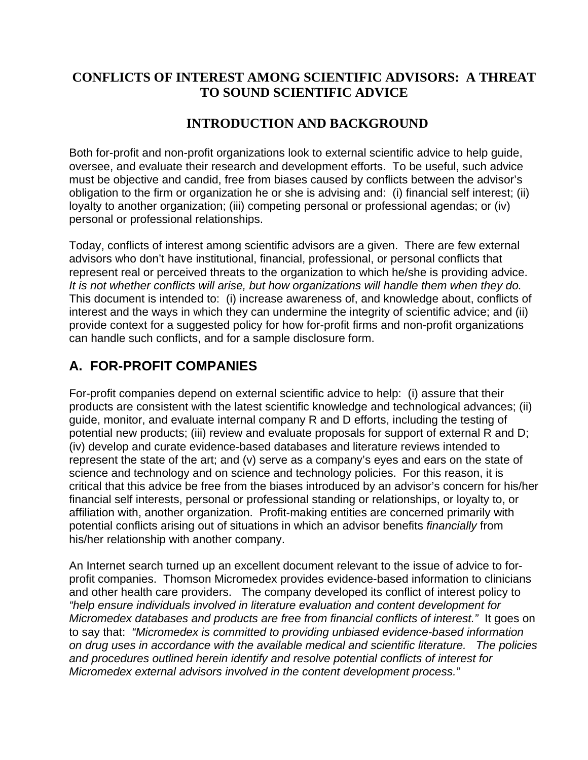## **CONFLICTS OF INTEREST AMONG SCIENTIFIC ADVISORS: A THREAT TO SOUND SCIENTIFIC ADVICE**

## **INTRODUCTION AND BACKGROUND**

Both for-profit and non-profit organizations look to external scientific advice to help guide, oversee, and evaluate their research and development efforts. To be useful, such advice must be objective and candid, free from biases caused by conflicts between the advisor's obligation to the firm or organization he or she is advising and: (i) financial self interest; (ii) loyalty to another organization; (iii) competing personal or professional agendas; or (iv) personal or professional relationships.

Today, conflicts of interest among scientific advisors are a given. There are few external advisors who don't have institutional, financial, professional, or personal conflicts that represent real or perceived threats to the organization to which he/she is providing advice. *It is not whether conflicts will arise, but how organizations will handle them when they do.* This document is intended to: (i) increase awareness of, and knowledge about, conflicts of interest and the ways in which they can undermine the integrity of scientific advice; and (ii) provide context for a suggested policy for how for-profit firms and non-profit organizations can handle such conflicts, and for a sample disclosure form.

## **A. FOR-PROFIT COMPANIES**

For-profit companies depend on external scientific advice to help: (i) assure that their products are consistent with the latest scientific knowledge and technological advances; (ii) guide, monitor, and evaluate internal company R and D efforts, including the testing of potential new products; (iii) review and evaluate proposals for support of external R and D; (iv) develop and curate evidence-based databases and literature reviews intended to represent the state of the art; and (v) serve as a company's eyes and ears on the state of science and technology and on science and technology policies. For this reason, it is critical that this advice be free from the biases introduced by an advisor's concern for his/her financial self interests, personal or professional standing or relationships, or loyalty to, or affiliation with, another organization. Profit-making entities are concerned primarily with potential conflicts arising out of situations in which an advisor benefits *financially* from his/her relationship with another company.

An Internet search turned up an excellent document relevant to the issue of advice to forprofit companies. Thomson Micromedex provides evidence-based information to clinicians and other health care providers. The company developed its conflict of interest policy to *"help ensure individuals involved in literature evaluation and content development for Micromedex databases and products are free from financial conflicts of interest."* It goes on to say that: *"Micromedex is committed to providing unbiased evidence-based information on drug uses in accordance with the available medical and scientific literature. The policies and procedures outlined herein identify and resolve potential conflicts of interest for Micromedex external advisors involved in the content development process."*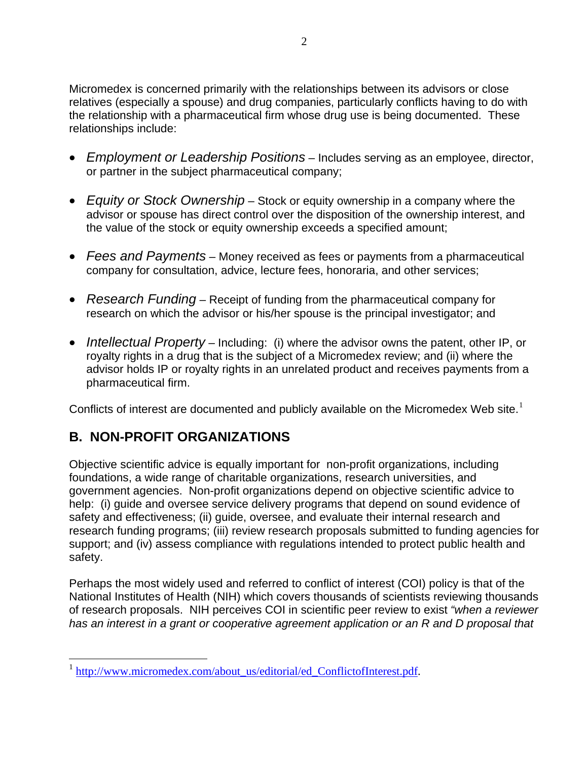Micromedex is concerned primarily with the relationships between its advisors or close relatives (especially a spouse) and drug companies, particularly conflicts having to do with the relationship with a pharmaceutical firm whose drug use is being documented. These relationships include:

- *Employment or Leadership Positions* Includes serving as an employee, director, or partner in the subject pharmaceutical company;
- *Equity or Stock Ownership* Stock or equity ownership in a company where the advisor or spouse has direct control over the disposition of the ownership interest, and the value of the stock or equity ownership exceeds a specified amount;
- *Fees and Payments* Money received as fees or payments from a pharmaceutical company for consultation, advice, lecture fees, honoraria, and other services;
- *Research Funding* Receipt of funding from the pharmaceutical company for research on which the advisor or his/her spouse is the principal investigator; and
- *Intellectual Property* Including: (i) where the advisor owns the patent, other IP, or royalty rights in a drug that is the subject of a Micromedex review; and (ii) where the advisor holds IP or royalty rights in an unrelated product and receives payments from a pharmaceutical firm.

Conflicts of interest are documented and publicly available on the Micromedex Web site.<sup>[1](#page-1-0)</sup>

## **B. NON-PROFIT ORGANIZATIONS**

 $\overline{a}$ 

Objective scientific advice is equally important for non-profit organizations, including foundations, a wide range of charitable organizations, research universities, and government agencies. Non-profit organizations depend on objective scientific advice to help: (i) guide and oversee service delivery programs that depend on sound evidence of safety and effectiveness; (ii) guide, oversee, and evaluate their internal research and research funding programs; (iii) review research proposals submitted to funding agencies for support; and (iv) assess compliance with regulations intended to protect public health and safety.

Perhaps the most widely used and referred to conflict of interest (COI) policy is that of the National Institutes of Health (NIH) which covers thousands of scientists reviewing thousands of research proposals. NIH perceives COI in scientific peer review to exist *"when a reviewer has an interest in a grant or cooperative agreement application or an R and D proposal that* 

<span id="page-1-0"></span>[http://www.micromedex.com/about\\_us/editorial/ed\\_ConflictofInterest.pdf](http://www.micromedex.com/about_us/editorial/ed_ConflictofInterest.pdf).